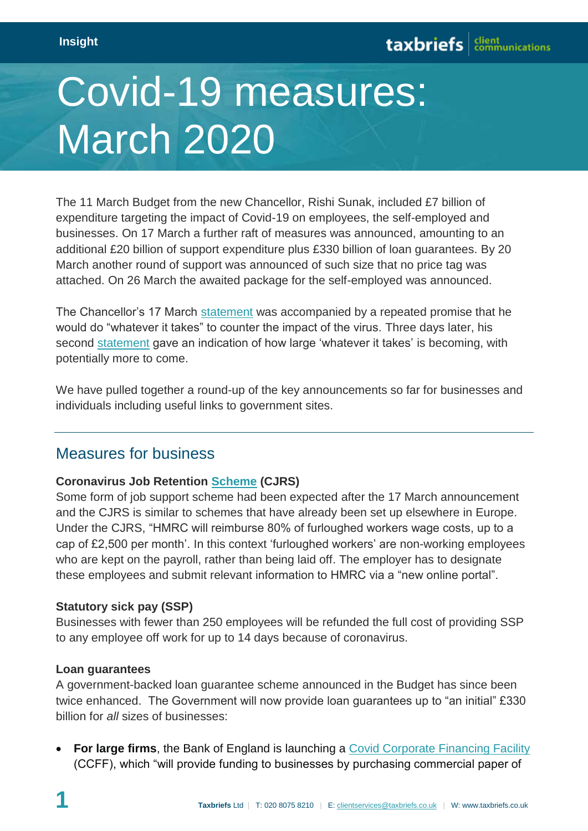# Covid-19 measures: March 2020

The 11 March Budget from the new Chancellor, Rishi Sunak, included £7 billion of expenditure targeting the impact of Covid-19 on employees, the self-employed and businesses. On 17 March a further raft of measures was announced, amounting to an additional £20 billion of support expenditure plus £330 billion of loan guarantees. By 20 March another round of support was announced of such size that no price tag was attached. On 26 March the awaited package for the self-employed was announced.

The Chancellor's 17 March [statement](https://www.gov.uk/government/speeches/chancellor-of-the-exchequer-rishi-sunak-on-covid19-response) was accompanied by a repeated promise that he would do "whatever it takes" to counter the impact of the virus. Three days later, his second [statement](https://www.gov.uk/government/speeches/the-chancellor-rishi-sunak-provides-an-updated-statement-on-coronavirus) gave an indication of how large 'whatever it takes' is becoming, with potentially more to come.

We have pulled together a round-up of the key announcements so far for businesses and individuals including useful links to government sites.

## Measures for business

#### **Coronavirus Job Retention [Scheme](https://www.gov.uk/government/publications/guidance-to-employers-and-businesses-about-covid-19/covid-19-support-for-businesses#support-for-businesses-through-the-coronavirus-business-interruption-loan-scheme) (CJRS)**

Some form of job support scheme had been expected after the 17 March announcement and the CJRS is similar to schemes that have already been set up elsewhere in Europe. Under the CJRS, "HMRC will reimburse 80% of furloughed workers wage costs, up to a cap of £2,500 per month'. In this context 'furloughed workers' are non-working employees who are kept on the payroll, rather than being laid off. The employer has to designate these employees and submit relevant information to HMRC via a "new online portal".

#### **Statutory sick pay (SSP)**

Businesses with fewer than 250 employees will be refunded the full cost of providing SSP to any employee off work for up to 14 days because of coronavirus.

#### **Loan guarantees**

A government-backed loan guarantee scheme announced in the Budget has since been twice enhanced. The Government will now provide loan guarantees up to "an initial" £330 billion for *all* sizes of businesses:

**For large firms**, the Bank of England is launching a [Covid Corporate Financing Facility](https://www.bankofengland.co.uk/news/2020/march/hmt-and-boe-launch-a-covid-corporate-financing-facility) (CCFF), which "will provide funding to businesses by purchasing commercial paper of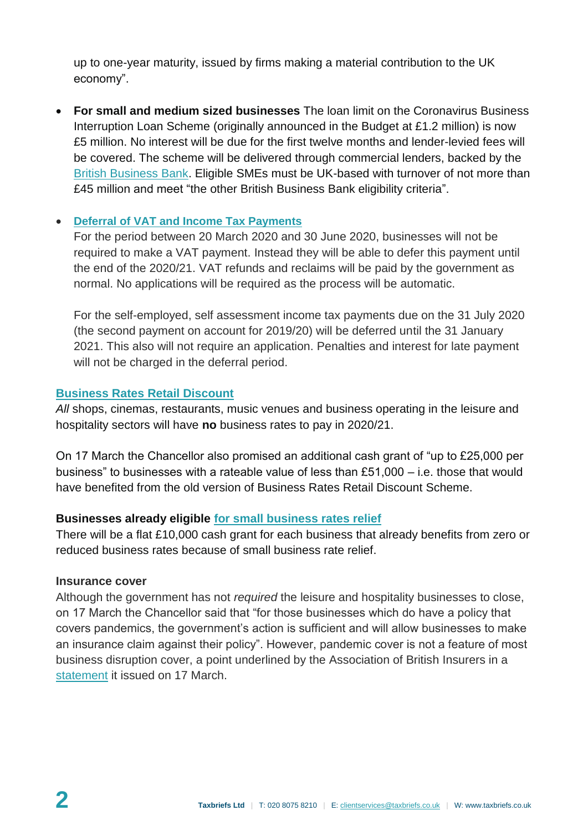up to one-year maturity, issued by firms making a material contribution to the UK economy".

 **For small and medium sized businesses** The loan limit on the Coronavirus Business Interruption Loan Scheme (originally announced in the Budget at £1.2 million) is now £5 million. No interest will be due for the first twelve months and lender-levied fees will be covered. The scheme will be delivered through commercial lenders, backed by the [British Business Bank.](https://www.british-business-bank.co.uk/) Eligible SMEs must be UK-based with turnover of not more than £45 million and meet "the other British Business Bank eligibility criteria".

#### **[Deferral of VAT and Income Tax Payments](https://www.gov.uk/government/publications/guidance-to-employers-and-businesses-about-covid-19/covid-19-support-for-businesses#support-for-businesses-through-deferring-vat-and-income-tax-payments)**

For the period between 20 March 2020 and 30 June 2020, businesses will not be required to make a VAT payment. Instead they will be able to defer this payment until the end of the 2020/21. VAT refunds and reclaims will be paid by the government as normal. No applications will be required as the process will be automatic.

For the self-employed, self assessment income tax payments due on the 31 July 2020 (the second payment on account for 2019/20) will be deferred until the 31 January 2021. This also will not require an application. Penalties and interest for late payment will not be charged in the deferral period.

#### **[Business Rates Retail Discount](https://www.gov.uk/apply-for-business-rate-relief/retail-discount)**

*All* shops, cinemas, restaurants, music venues and business operating in the leisure and hospitality sectors will have **no** business rates to pay in 2020/21.

On 17 March the Chancellor also promised an additional cash grant of "up to £25,000 per business" to businesses with a rateable value of less than £51,000 – i.e. those that would have benefited from the old version of Business Rates Retail Discount Scheme.

#### **Businesses already eligible [for small business rates relief](https://www.gov.uk/apply-for-business-rate-relief/small-business-rate-relief)**

There will be a flat £10,000 cash grant for each business that already benefits from zero or reduced business rates because of small business rate relief.

#### **Insurance cover**

Although the government has not *required* the leisure and hospitality businesses to close, on 17 March the Chancellor said that "for those businesses which do have a policy that covers pandemics, the government's action is sufficient and will allow businesses to make an insurance claim against their policy". However, pandemic cover is not a feature of most business disruption cover, a point underlined by the Association of British Insurers in a [statement](https://www.abi.org.uk/news/news-articles/2020/03/statement-on-business-insurance-and-coronavirus/) it issued on 17 March.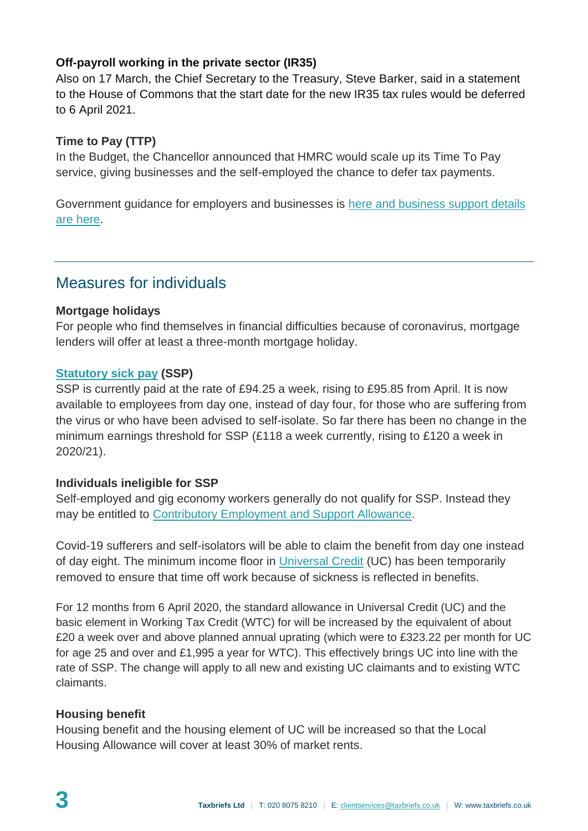### **Off-payroll working in the private sector (IR35)**

Also on 17 March, the Chief Secretary to the Treasury, Steve Barker, said in a statement to the House of Commons that the start date for the new IR35 tax rules would be deferred to 6 April 2021.

#### **Time to Pay (TTP)**

In the Budget, the Chancellor announced that HMRC would scale up its Time To Pay service, giving businesses and the self-employed the chance to defer tax payments.

Government guidance for employers and businesses is [here](https://www.gov.uk/government/publications/guidance-to-employers-and-businesses-about-covid-19/guidance-for-employers-and-businesses-on-coronavirus-covid-19) and business support details are [here.](https://www.gov.uk/government/publications/guidance-to-employers-and-businesses-about-covid-19/covid-19-support-for-businesses)

## Measures for individuals

#### **Mortgage holidays**

For people who find themselves in financial difficulties because of coronavirus, mortgage lenders will offer at least a three-month mortgage holiday.

#### **[Statutory sick pay](https://www.gov.uk/statutory-sick-pay) (SSP)**

SSP is currently paid at the rate of £94.25 a week, rising to £95.85 from April. It is now available to employees from day one, instead of day four, for those who are suffering from the virus or who have been advised to self-isolate. So far there has been no change in the minimum earnings threshold for SSP (£118 a week currently, rising to £120 a week in 2020/21).

#### **Individuals ineligible for SSP**

Self-employed and gig economy workers generally do not qualify for SSP. Instead they may be entitled to [Contributory Employment and Support Allowance.](https://www.gov.uk/employment-support-allowance)

Covid-19 sufferers and self-isolators will be able to claim the benefit from day one instead of day eight. The minimum income floor in [Universal Credit](https://www.gov.uk/universal-credit) (UC) has been temporarily removed to ensure that time off work because of sickness is reflected in benefits.

For 12 months from 6 April 2020, the standard allowance in Universal Credit (UC) and the basic element in Working Tax Credit (WTC) for will be increased by the equivalent of about £20 a week over and above planned annual uprating (which were to £323.22 per month for UC for age 25 and over and £1,995 a year for WTC). This effectively brings UC into line with the rate of SSP. The change will apply to all new and existing UC claimants and to existing WTC claimants.

#### **Housing benefit**

Housing benefit and the housing element of UC will be increased so that the Local Housing Allowance will cover at least 30% of market rents.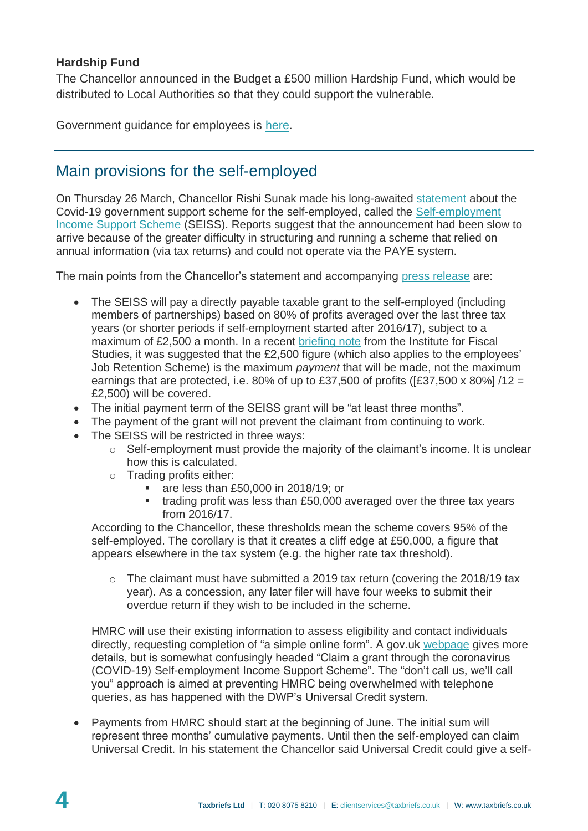#### **Hardship Fund**

The Chancellor announced in the Budget a £500 million Hardship Fund, which would be distributed to Local Authorities so that they could support the vulnerable.

Government guidance for employees is [here.](https://www.gov.uk/government/publications/guidance-to-employers-and-businesses-about-covid-19/covid-19-guidance-for-employees)

## Main provisions for the self-employed

On Thursday 26 March, Chancellor Rishi Sunak made his long-awaited [statement](https://www.gov.uk/government/news/chancellor-gives-support-to-millions-of-self-employed-individuals) about the Covid-19 government support scheme for the self-employed, called the [Self-employment](https://www.gov.uk/government/publications/guidance-to-employers-and-businesses-about-covid-19/covid-19-support-for-businesses#support-for-self-employed-through-the-self-employment-income-support-scheme)  [Income Support Scheme](https://www.gov.uk/government/publications/guidance-to-employers-and-businesses-about-covid-19/covid-19-support-for-businesses#support-for-self-employed-through-the-self-employment-income-support-scheme) (SEISS). Reports suggest that the announcement had been slow to arrive because of the greater difficulty in structuring and running a scheme that relied on annual information (via tax returns) and could not operate via the PAYE system.

The main points from the Chancellor's statement and accompanying [press release](https://www.gov.uk/government/news/chancellor-gives-support-to-millions-of-self-employed-individuals) are:

- The SEISS will pay a directly payable taxable grant to the self-employed (including members of partnerships) based on 80% of profits averaged over the last three tax years (or shorter periods if self-employment started after 2016/17), subject to a maximum of £2,500 a month. In a recent [briefing note](https://www.ifs.org.uk/publications/14768) from the Institute for Fiscal Studies, it was suggested that the £2,500 figure (which also applies to the employees' Job Retention Scheme) is the maximum *payment* that will be made, not the maximum earnings that are protected, i.e. 80% of up to £37,500 of profits ( $[£37,500 \times 80\%]$  /12 = £2,500) will be covered.
- The initial payment term of the SEISS grant will be "at least three months".
- The payment of the grant will not prevent the claimant from continuing to work.
- The SEISS will be restricted in three ways:
	- o Self-employment must provide the majority of the claimant's income. It is unclear how this is calculated.
	- o Trading profits either:
		- are less than £50,000 in 2018/19; or
		- trading profit was less than £50,000 averaged over the three tax years from 2016/17.

According to the Chancellor, these thresholds mean the scheme covers 95% of the self-employed. The corollary is that it creates a cliff edge at £50,000, a figure that appears elsewhere in the tax system (e.g. the higher rate tax threshold).

o The claimant must have submitted a 2019 tax return (covering the 2018/19 tax year). As a concession, any later filer will have four weeks to submit their overdue return if they wish to be included in the scheme.

HMRC will use their existing information to assess eligibility and contact individuals directly, requesting completion of "a simple online form". A gov.uk [webpage](https://www.gov.uk/guidance/claim-a-grant-through-the-coronavirus-covid-19-self-employment-income-support-scheme) gives more details, but is somewhat confusingly headed "Claim a grant through the coronavirus (COVID-19) Self-employment Income Support Scheme". The "don't call us, we'll call you" approach is aimed at preventing HMRC being overwhelmed with telephone queries, as has happened with the DWP's Universal Credit system.

 Payments from HMRC should start at the beginning of June. The initial sum will represent three months' cumulative payments. Until then the self-employed can claim Universal Credit. In his statement the Chancellor said Universal Credit could give a self-